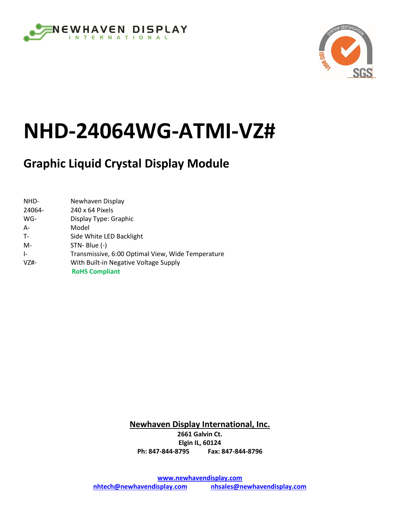



# **NHD-24064WG-ATMI-VZ#**

# **Graphic Liquid Crystal Display Module**

| NHD-      | Newhaven Display                                  |
|-----------|---------------------------------------------------|
| 24064-    | 240 x 64 Pixels                                   |
| WG-       | Display Type: Graphic                             |
| $A -$     | Model                                             |
| $T -$     | Side White LED Backlight                          |
| M-        | STN-Blue (-)                                      |
| $\vert$ - | Transmissive, 6:00 Optimal View, Wide Temperature |
| $VZ#-$    | With Built-in Negative Voltage Supply             |
|           | <b>RoHS Compliant</b>                             |

**Newhaven Display International, Inc. 2661 Galvin Ct. Elgin IL, 60124 Ph: 847-844-8795 Fax: 847-844-8796**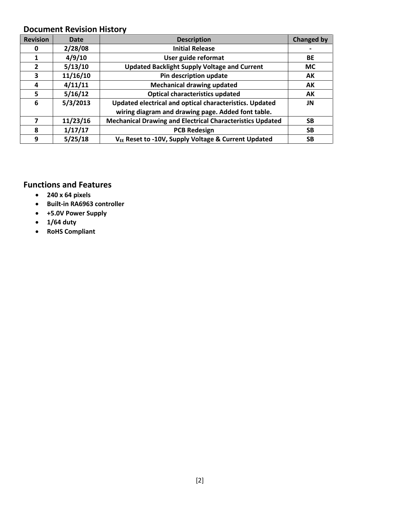#### **Document Revision History**

| <b>Revision</b> | Date     | <b>Description</b>                                               | <b>Changed by</b> |
|-----------------|----------|------------------------------------------------------------------|-------------------|
| 0               | 2/28/08  | <b>Initial Release</b>                                           |                   |
|                 | 4/9/10   | User guide reformat                                              | BE                |
| $\overline{2}$  | 5/13/10  | <b>Updated Backlight Supply Voltage and Current</b>              | <b>MC</b>         |
| 3               | 11/16/10 | Pin description update                                           | AK                |
| 4               | 4/11/11  | <b>Mechanical drawing updated</b>                                | AK                |
| 5               | 5/16/12  | <b>Optical characteristics updated</b>                           | AK                |
| 6               | 5/3/2013 | Updated electrical and optical characteristics. Updated          | JN                |
|                 |          | wiring diagram and drawing page. Added font table.               |                   |
|                 | 11/23/16 | <b>Mechanical Drawing and Electrical Characteristics Updated</b> | <b>SB</b>         |
| 8               | 1/17/17  | <b>PCB Redesign</b>                                              | <b>SB</b>         |
| 9               | 5/25/18  | V <sub>EE</sub> Reset to -10V, Supply Voltage & Current Updated  | SB                |

#### **Functions and Features**

- **240 x 64 pixels**
- **Built-in RA6963 controller**
- **+5.0V Power Supply**
- **1/64 duty**
- **RoHS Compliant**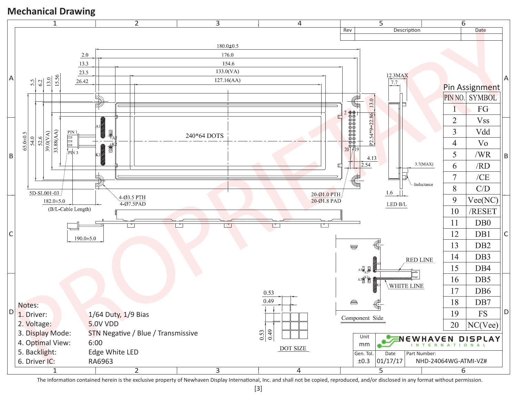#### **Mechanical Drawing**



The information contained herein is the exclusive property of Newhaven Display International, Inc. and shall not be copied, reproduced, and/or disclosed in any format without permission.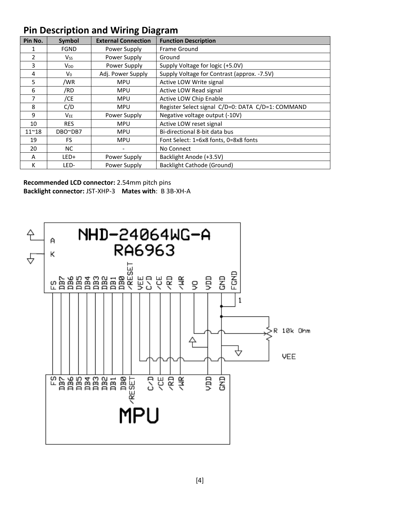## **Pin Description and Wiring Diagram**

| Pin No.       | Symbol                 | <b>External Connection</b> | <b>Function Description</b>                       |
|---------------|------------------------|----------------------------|---------------------------------------------------|
|               | <b>FGND</b>            | Power Supply               | <b>Frame Ground</b>                               |
| 2             | Vss                    | Power Supply               | Ground                                            |
| 3             | <b>V</b> <sub>DD</sub> | Power Supply               | Supply Voltage for logic (+5.0V)                  |
| 4             | V <sub>0</sub>         | Adj. Power Supply          | Supply Voltage for Contrast (approx. -7.5V)       |
| 5             | /WR                    | <b>MPU</b>                 | Active LOW Write signal                           |
| 6             | /RD                    | <b>MPU</b>                 | Active LOW Read signal                            |
| 7             | /CE                    | <b>MPU</b>                 | Active LOW Chip Enable                            |
| 8             | C/D                    | <b>MPU</b>                 | Register Select signal C/D=0: DATA C/D=1: COMMAND |
| 9             | V <sub>EE</sub>        | Power Supply               | Negative voltage output (-10V)                    |
| 10            | <b>RES</b>             | <b>MPU</b>                 | Active LOW reset signal                           |
| $11^{\sim}18$ | DBO~DB7                | <b>MPU</b>                 | Bi-directional 8-bit data bus                     |
| 19            | FS.                    | <b>MPU</b>                 | Font Select: 1=6x8 fonts, 0=8x8 fonts             |
| 20            | NC.                    |                            | No Connect                                        |
| A             | LED+                   | Power Supply               | Backlight Anode (+3.5V)                           |
| К             | LED-                   | Power Supply               | Backlight Cathode (Ground)                        |

**Recommended LCD connector:** 2.54mm pitch pins **Backlight connector:** JST-XHP-3 **Mates with**: B 3B-XH-A

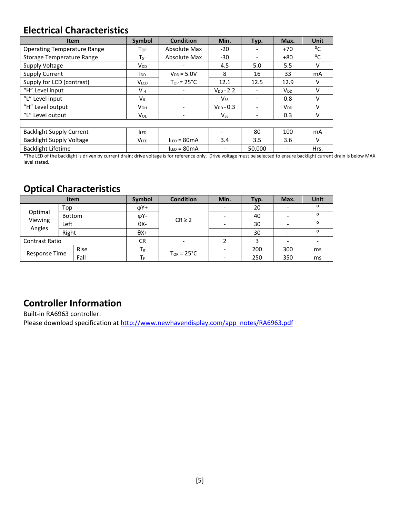## **Electrical Characteristics**

| <b>Item</b>                        | Symbol                   | <b>Condition</b>    | Min.                         | Typ.                         | Max.                     | <b>Unit</b> |
|------------------------------------|--------------------------|---------------------|------------------------------|------------------------------|--------------------------|-------------|
| <b>Operating Temperature Range</b> | Top                      | <b>Absolute Max</b> | -20                          |                              | $+70$                    | °C          |
| Storage Temperature Range          | Тsт                      | Absolute Max        | $-30$                        |                              | $+80$                    | °C          |
| Supply Voltage                     | <b>V<sub>DD</sub></b>    |                     | 4.5                          | 5.0                          | 5.5                      | v           |
| <b>Supply Current</b>              | <b>I</b> <sub>DD</sub>   | $V_{DD} = 5.0V$     | 8                            | 16                           | 33                       | mA          |
| Supply for LCD (contrast)          | V <sub>LCD</sub>         | $Top = 25^{\circ}C$ | 12.1                         | 12.5                         | 12.9                     | v           |
| "H" Level input                    | V <sub>IH</sub>          |                     | $V_{DD} - 2.2$               |                              | $V_{DD}$                 | v           |
| "L" Level input                    | <b>V</b> <sub>IL</sub>   | ٠                   | <b>V<sub>ss</sub></b>        | $\qquad \qquad \blacksquare$ | 0.8                      | V           |
| "H" Level output                   | <b>V</b> он              |                     | $V_{DD} - 0.3$               |                              | <b>V<sub>DD</sub></b>    | v           |
| "L" Level output                   | Vol                      |                     | <b>Vss</b>                   |                              | 0.3                      | v           |
|                                    |                          |                     |                              |                              |                          |             |
| <b>Backlight Supply Current</b>    | <b>ILED</b>              |                     | $\overline{\phantom{0}}$     | 80                           | 100                      | mA          |
| <b>Backlight Supply Voltage</b>    | <b>VLED</b>              | $I_{LED} = 80mA$    | 3.4                          | 3.5                          | 3.6                      | V           |
| <b>Backlight Lifetime</b>          | $\overline{\phantom{0}}$ | $I_{LED} = 80mA$    | $\qquad \qquad \blacksquare$ | 50,000                       | $\overline{\phantom{a}}$ | Hrs.        |

\*The LED of the backlight is driven by current drain; drive voltage is for reference only. Drive voltage must be selected to ensure backlight current drain is below MAX level stated.

## **Optical Characteristics**

|                              |        | <b>Item</b> | Symbol      | <b>Condition</b>    | Min. | Typ. | Max. | Unit    |
|------------------------------|--------|-------------|-------------|---------------------|------|------|------|---------|
| Optimal<br>Viewing<br>Angles | Top    |             | $\phi$ Y+   |                     |      | 20   |      | O       |
|                              | Bottom |             | φΥ-         | $CR \geq 2$         |      | 40   |      |         |
|                              | Left   |             | θХ-         |                     |      | 30   |      | $\circ$ |
|                              | Right  |             | $\theta$ X+ |                     |      | 30   |      | O       |
| <b>Contrast Ratio</b>        |        |             | CR          |                     |      |      |      |         |
| Response Time                |        | Rise        | $T_R$       |                     |      | 200  | 300  | ms      |
|                              |        | Fall        | ТF          | $Top = 25^{\circ}C$ |      | 250  | 350  | ms      |

## **Controller Information**

Built-in RA6963 controller. Please download specification at [http://www.newhavendisplay.com/app\\_notes/RA6963.pdf](http://www.newhavendisplay.com/app_notes/RA6963.pdf)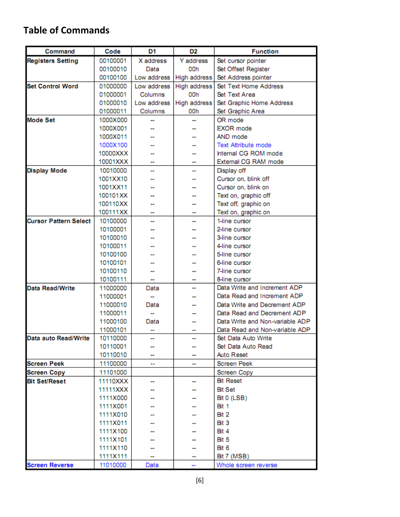## **Table of Commands**

| Command                      | Code     | D1          | D <sub>2</sub> | <b>Function</b>                 |  |  |
|------------------------------|----------|-------------|----------------|---------------------------------|--|--|
| <b>Registers Setting</b>     | 00100001 | X address   | Y address      | Set cursor pointer              |  |  |
|                              | 00100010 | Data        | 00h            | Set Offset Register             |  |  |
|                              | 00100100 | Low address | High address   | Set Address pointer             |  |  |
| <b>Set Control Word</b>      | 01000000 | Low address | High address   | Set Text Home Address           |  |  |
|                              | 01000001 | Columns     | 00h            | Set Text Area                   |  |  |
|                              | 01000010 | Low address | High address   | Set Graphic Home Address        |  |  |
|                              | 01000011 | Columns     | 00h            | Set Graphic Area                |  |  |
| <b>Mode Set</b>              | 1000X000 |             |                | OR mode                         |  |  |
|                              | 1000X001 |             |                | <b>FXOR</b> mode                |  |  |
|                              | 1000X011 |             |                | AND mode                        |  |  |
|                              | 1000X100 |             |                | <b>Text Attribute mode</b>      |  |  |
|                              | 10000XXX |             |                | Internal CG ROM mode            |  |  |
|                              | 10001XXX | .,          | --             | External CG RAM mode            |  |  |
| <b>Display Mode</b>          | 10010000 |             | --             | Display off                     |  |  |
|                              | 1001XX10 |             |                | Cursor on, blink off            |  |  |
|                              | 1001XX11 |             |                | Cursor on, blink on             |  |  |
|                              | 100101XX |             |                | Text on, graphic off            |  |  |
|                              | 100110XX |             |                | Text off, graphic on            |  |  |
|                              | 100111XX |             |                | Text on, graphic on             |  |  |
| <b>Cursor Pattern Select</b> | 10100000 |             | --             | 1-line cursor                   |  |  |
|                              | 10100001 |             |                | 2-line cursor                   |  |  |
|                              | 10100010 |             |                | 3-line cursor                   |  |  |
|                              | 10100011 |             |                | 4-line cursor                   |  |  |
|                              | 10100100 |             |                | 5-line cursor                   |  |  |
|                              | 10100101 |             |                | 6-line cursor                   |  |  |
|                              | 10100110 |             |                | 7-line cursor                   |  |  |
|                              | 10100111 |             | --             | 8-line cursor                   |  |  |
| <b>Data Read/Write</b>       | 11000000 | Data        | --             | Data Write and Increment ADP    |  |  |
|                              | 11000001 |             |                | Data Read and Increment ADP     |  |  |
|                              | 11000010 | Data        |                | Data Write and Decrement ADP    |  |  |
|                              | 11000011 |             |                | Data Read and Decrement ADP     |  |  |
|                              | 11000100 | Data        |                | Data Write and Non-variable ADP |  |  |
|                              | 11000101 |             |                | Data Read and Non-variable ADP  |  |  |
| Data auto Read/Write         | 10110000 |             |                | Set Data Auto Write             |  |  |
|                              | 10110001 |             |                | Set Data Auto Read              |  |  |
|                              | 10110010 |             |                | Auto Reset                      |  |  |
| <b>Screen Peek</b>           | 11100000 | --          | -              | <b>Screen Peek</b>              |  |  |
| <b>Screen Copy</b>           | 11101000 |             |                | Screen Copy                     |  |  |
| <b>Bit Set/Reset</b>         | 11110XXX |             |                | <b>Bit Reset</b>                |  |  |
|                              | 11111XXX |             |                | <b>Bit Set</b>                  |  |  |
|                              | 1111X000 |             |                | Bit 0 (LSB)                     |  |  |
|                              | 1111X001 |             |                | Bit 1                           |  |  |
|                              | 1111X010 |             |                | Bit 2                           |  |  |
|                              | 1111X011 |             |                | Bit 3                           |  |  |
|                              | 1111X100 |             |                | Bit 4                           |  |  |
|                              | 1111X101 |             |                | Bit 5                           |  |  |
|                              | 1111X110 |             |                | Bit 6                           |  |  |
|                              | 1111X111 |             |                | Bit 7 (MSB)                     |  |  |
| <b>Screen Reverse</b>        | 11010000 | Data        | --             | Whole screen reverse            |  |  |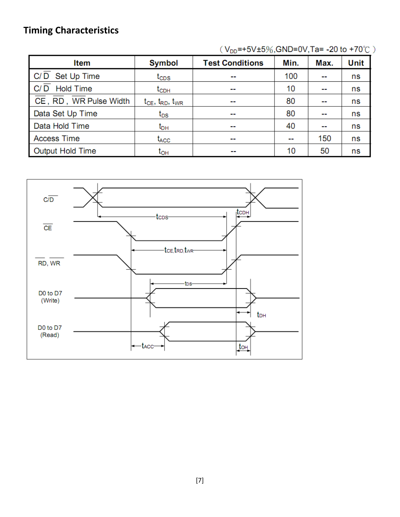## **Timing Characteristics**

| <b>Item</b>             | <b>Symbol</b>                  | <b>Test Conditions</b>   | Min. | Max.   | Unit |
|-------------------------|--------------------------------|--------------------------|------|--------|------|
| C/D Set Up Time         | $t_{\texttt{CDS}}$             | --                       | 100  | $\sim$ | ns   |
| <b>Hold Time</b><br>C/D | $t_{CDH}$                      | $\overline{\phantom{a}}$ | 10   | --     | ns   |
| CE, RD, WR Pulse Width  | $t_{CE}$ , $t_{RD}$ , $t_{WR}$ | $\overline{\phantom{a}}$ | 80   | $\sim$ | ns   |
| Data Set Up Time        | $t_{DS}$                       | $\overline{\phantom{a}}$ | 80   | $\sim$ | ns   |
| Data Hold Time          | $t_{\sf DH}$                   | $\overline{\phantom{a}}$ | 40   | $\sim$ | ns   |
| <b>Access Time</b>      | t <sub>ACC</sub>               | $\overline{\phantom{a}}$ | --   | 150    | ns   |
| <b>Output Hold Time</b> | t <sub>он</sub>                | --                       | 10   | 50     | ns   |

 $(V_{DD} = +5V \pm 5\%,$ GND=0V,Ta=-20 to +70°C)

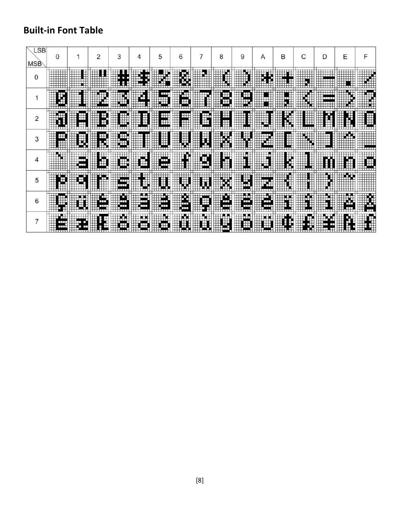## **Built-in Font Table**

| LSB<br><b>MSB</b> | 0                                                |                                      | 2               | 3                         |                                           | 5                                         | 6                     |                                    | 8                    | 9                                 | Α                        | в                                | С          | D                          | E                                                  |  |
|-------------------|--------------------------------------------------|--------------------------------------|-----------------|---------------------------|-------------------------------------------|-------------------------------------------|-----------------------|------------------------------------|----------------------|-----------------------------------|--------------------------|----------------------------------|------------|----------------------------|----------------------------------------------------|--|
| 0                 | <br>         <br>                                |                                      |                 | J,                        | ПT.                                       | WW                                        | E                     | 118111111<br>118111111<br>88233320 | ┯                    | ™™<br>WU.                         | W                        | TITTI<br>.                       |            | ,,,,,,,,,,<br>,,,,,,,,,,,  |                                                    |  |
|                   | Ę<br>HH.                                         | HH.<br><b>Hillmen</b>                | WW.<br>HELL     | William                   | EF 2<br>HHH                               | j<br>Hitari                               | 134<br>Ŧ<br>an Person | HH.<br>HH.                         | Æ<br>H.              | ⊕<br><u>HIM</u>                   | mun                      | 77 Z T<br><del>,,,,,,,,</del>    | <b></b>    | <b>HHH</b>                 | mm                                                 |  |
| $\overline{2}$    | <u>ma</u>                                        | P.<br>₩                              | Ŧ<br>Ŧ          | ₩                         | ⊞<br>55511016                             | F<br>Em                                   | ŧ<br>iil mi           | <b>PERS</b>                        | ₩<br>₩               | ╥<br>$\Box$<br><b>TELES</b>       | ₩Ŧ<br>11                 | H<br>1900 B B B B B              | ₩          | -------                    | Ŧ.                                                 |  |
| 3                 | $\pm$<br>₩<br>Ħ<br>HH 11 11 11                   | NU.                                  | William         | Hiller.                   | iin<br>IIII<br>IIIII                      | 111 - 111<br>111 - 111<br>111 - 111 - 111 | ╪<br>HHM              | WWW                                | $\oplus$<br>W<br>╥   | EN SI                             | WW<br>11 M 11 11         | $\pm$<br>⊞<br>गगगग               | Ф          | ┯┯┯┯<br>H                  | <b>AXX</b>                                         |  |
| 4                 | ENT<br>HILLE                                     | 2022020<br>2022<br>2022020<br>ili ku | ŦŦ              | Œ                         | ₩                                         | ⊞<br>W.<br>Hita                           | ▒                     | W<br><b>Hiller</b>                 | ŧ<br>H               | ilia 1<br>$\top$<br>₩₩<br>╥╥╥     |                          | 111 - 11<br>111 - 11<br>111 - 11 | HH H<br>⊞⊞ |                            | V.                                                 |  |
| 5                 | M<br>晆                                           | <b>WEIGHT</b>                        | man<br>Man      | œ<br><u> SEPTEMB</u>      | Ħ                                         | Ħ<br>ا الماليا                            | men                   |                                    | X                    | H                                 | ijra<br>कामा             | ┯┯┯┯<br>.                        |            | +<br><b>THE REAL PROPE</b> | 1889-201<br>1885: 1886<br>1885: 1886<br>1885: 1886 |  |
| 6                 | 1887 1397<br>1988 1994<br>2088 1997<br>Ħ<br>HH L | mu                                   | ł<br>E L<br>H.m | مسب<br>mп                 | 86 B D<br>₩w<br>ш<br><del>,,,,,,,,,</del> | مس<br>HH<br>ستنا<br>11111111              | ₩<br>W                | m<br>$\blacksquare$                | . .<br>n 1<br>n an I | <b>STATISTICS</b><br>P.<br>a da s | मान<br>╓<br>1832<br>HH M |                                  |            | Ŧ                          | ₩<br>œ<br>- 111                                    |  |
| 7                 | <b>HILL AIR</b><br><b>11111</b>                  | <u>HUH</u><br>O.                     |                 | $\oplus$<br>$\frac{1}{2}$ | HXX<br>HH 111111                          | WW<br><b>HIHANA</b>                       | WW                    | <b>Experts Bankroom</b>            | g san<br>111.<br>п   | <u>i i stori</u><br><b>HHMML</b>  | WW                       | Hittandissis.co                  | ⊞<br>49    | سمر<br>. .<br>ш            | $\mathbf{e}$<br>᠊ᠸ                                 |  |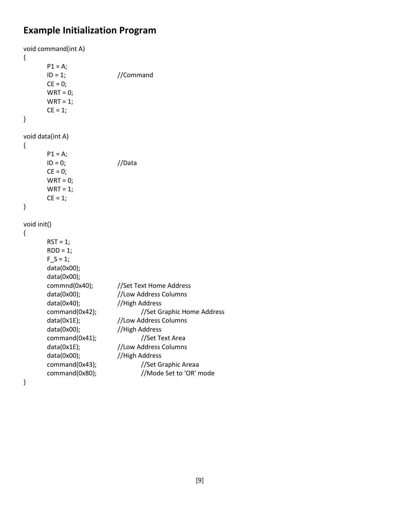#### **Example Initialization Program**

```
void command(int A)
{
     P1 = A;ID = 1; //Command
     CE = 0;WRT = 0;WRT = 1;CE = 1;}
void data(int A)
{
     P1 = A;ID = 0; //Data
     CE = 0;WRT = 0;WRT = 1;CE = 1;}
void init()
{
      RST = 1;RDD = 1;F S = 1;
     data(0x00);
     data(0x00);
     commnd(0x40); //Set Text Home Address
     data(0x00); //Low Address Columns
      data(0x40); //High Address
     command(0x42); //Set Graphic Home Addressdata(0x1E); //Low Address Columns
     data(0x00); //High Address
     command(0x41); //Set Text Area
     data(0x1E); //Low Address Columns
     data(0x00); //High Address
     command(0x43); //Set Graphic Areaa
     command(0x80); //Mode Set to 'OR' mode
```
}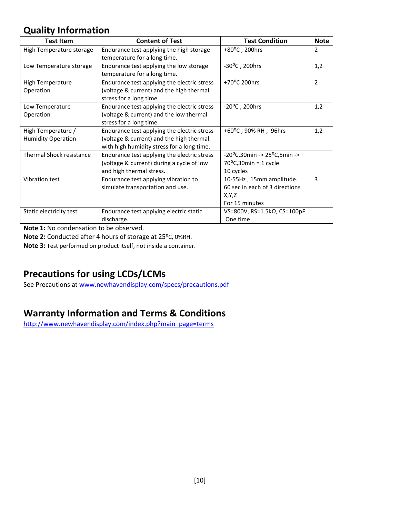## **Quality Information**

| <b>Test Item</b>                                | <b>Content of Test</b>                                                                                                                | <b>Test Condition</b>                                                                           | <b>Note</b>   |
|-------------------------------------------------|---------------------------------------------------------------------------------------------------------------------------------------|-------------------------------------------------------------------------------------------------|---------------|
| High Temperature storage                        | Endurance test applying the high storage<br>temperature for a long time.                                                              | +80°C, 200hrs                                                                                   | 2             |
| Low Temperature storage                         | Endurance test applying the low storage<br>temperature for a long time.                                                               | $-30^{\circ}$ C, 200hrs                                                                         | 1,2           |
| <b>High Temperature</b><br>Operation            | Endurance test applying the electric stress<br>(voltage & current) and the high thermal<br>stress for a long time.                    | +70°C 200hrs                                                                                    | $\mathcal{P}$ |
| Low Temperature<br>Operation                    | Endurance test applying the electric stress<br>(voltage & current) and the low thermal<br>stress for a long time.                     | $-20^{\circ}$ C, 200hrs                                                                         | 1,2           |
| High Temperature /<br><b>Humidity Operation</b> | Endurance test applying the electric stress<br>(voltage & current) and the high thermal<br>with high humidity stress for a long time. | +60°C, 90% RH, 96hrs                                                                            | 1,2           |
| Thermal Shock resistance                        | Endurance test applying the electric stress<br>(voltage & current) during a cycle of low<br>and high thermal stress.                  | $-20^{\circ}$ C,30min -> 25 $^{\circ}$ C,5min -><br>$70^{\circ}$ C,30min = 1 cycle<br>10 cycles |               |
| Vibration test                                  | Endurance test applying vibration to<br>simulate transportation and use.                                                              | 10-55Hz, 15mm amplitude.<br>60 sec in each of 3 directions<br>X,Y,Z<br>For 15 minutes           | 3             |
| Static electricity test                         | Endurance test applying electric static<br>discharge.                                                                                 | VS=800V, RS=1.5k $\Omega$ , CS=100pF<br>One time                                                |               |

**Note 1:** No condensation to be observed.

**Note 2:** Conducted after 4 hours of storage at 25⁰C, 0%RH.

**Note 3:** Test performed on product itself, not inside a container.

## **Precautions for using LCDs/LCMs**

See Precautions at [www.newhavendisplay.com/specs/precautions.pdf](http://www.newhavendisplay.com/specs/precautions.pdf)

## **Warranty Information and Terms & Conditions**

[http://www.newhavendisplay.com/index.php?main\\_page=terms](http://www.newhavendisplay.com/index.php?main_page=terms)